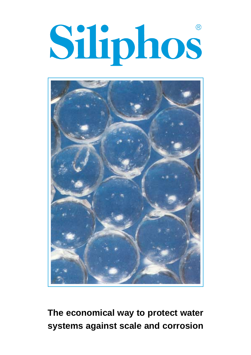# Siliphos



**The economical way to protect water systems against scale and corrosion**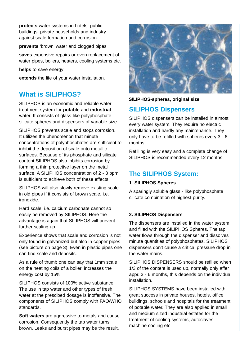**protects** water systems in hotels, public buildings, private households and industry against scale formation and corrosion.

**prevents** 'brown' water and clogged pipes

**saves** expensive repairs or even replacement of water pipes, boilers, heaters, cooling systems etc.

**helps** to save energy

**extends** the life of your water installation.

# **What is SILIPHOS?**

SILIPHOS is an economic and reliable water treatment system for **potable** and **industrial** water. It consists of glass-like polyphosphate silicate spheres and dispensers of variable size.

SILIPHOS prevents scale and stops corrosion. It utilizes the phenomenon that minute concentrations of polyphosphates are sufficient to inhibit the deposition of scale onto metallic surfaces. Because of its phosphate and silicate content SILIPHOS also inbibits corrosion by forming a thin protective layer on the metal surface. A SILIPHOS concentration of 2 - 3 ppm is sufficient to achieve both of these effects.

SILIPHOS will also slowly remove existing scale in old pipes if it consists of brown scale, i.e. ironoxide.

Hard scale, i.e. calcium carbonate cannot so easily be removed by SILIPHOS. Here the advantage is again that SILIPHOS will prevent further scaling up.

Experience shows that scale and corrosion is not only found in galvanized but also in copper pipes (see picture on page 3). Even in plastic pipes one can find scale and deposits.

As a rule of thumb one can say that 1mm scale on the heating coils of a boiler, increases the energy cost by 15%.

SILIPHOS consists of 100% active substance. The use in tap water and other types of fresh water at the prescibed dosage is inoffensive. The components of SILIPHOS comply with FAO/WHO standards.

**Soft waters** are aggressive to metals and cause corrosion. Consequently the tap water turns brown. Leaks and burst pipes may be the result.



**SILIPHOS-spheres, original size**

## **SILIPHOS Dispensers**

SILIPHOS dispensers can be installed in almost every water system. They require no electric installation and hardly any maintenance. They only have to be refilled with spheres every 3 - 6 months.

Refilling is very easy and a complete change of SILIPHOS is recommended every 12 months.

# **The SILIPHOS System:**

#### **1. SILIPHOS Spheres**

A sparingly soluble glass - like polyphosphate silicate combination of highest purity.

#### **2. SILIPHOS Dispensers**

The dispensers are installed in the water system and filled with the SILIPHOS Spheres. The tap water flows through the dispenser and dissolves minute quantities of polyphosphates. SILIPHOS dispensers don't cause a critical pressure drop in the water mains.

SILIPHOS DISPENSERS should be refilled when 1/3 of the content is used up, normally only affer appr. 3 - 6 months, this depends on the individual installation.

SILIPHOS SYSTEMS have been installed with great success in private houses, hotels, office buildings, schools and hospitals for the treatment of potable water. They are also applied in small and medium sized industrial estates for the treatment of cooling systems, autoclaves, machine cooling etc.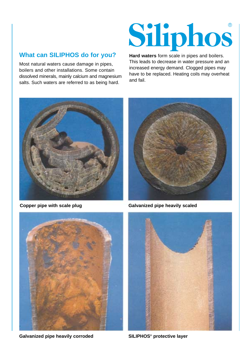# **What can SILIPHOS do for you?**

Most natural waters cause damage in pipes, boilers and other installations. Some contain dissolved minerals, mainly calcium and magnesium salts. Such waters are referred to as being hard.

# Siliphos

**Hard waters** form scale in pipes and boilers. This leads to decrease in water pressure and an increased energy demand. Clogged pipes may have to be replaced. Heating coils may overheat and fail.





**Copper pipe with scale plug Galvanized pipe heavily scaled** 



**SILIPHOS® Galvanized pipe heavily corroded protective layer**